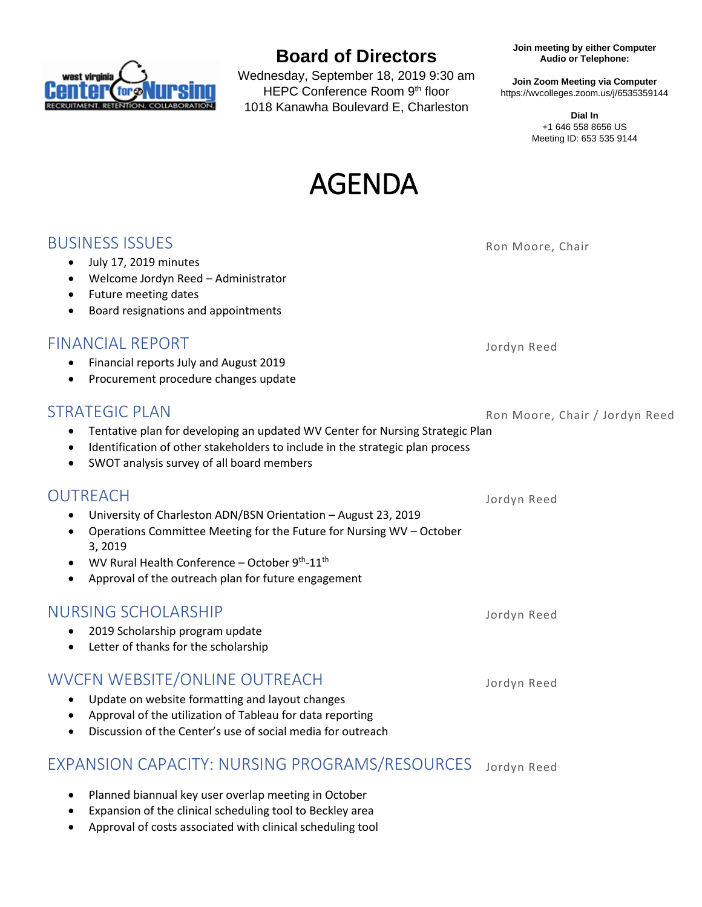

# **Board of Directors**

Wednesday, September 18, 2019 9:30 am HEPC Conference Room 9th floor 1018 Kanawha Boulevard E, Charleston

**Join meeting by either Computer Audio or Telephone:**

**Join Zoom Meeting via Computer** https://wvcolleges.zoom.us/j/6535359144

> **Dial In** +1 646 558 8656 US Meeting ID: 653 535 9144

# AGENDA

### **BUSINESS ISSUES** Ron Moore, Chair • July 17, 2019 minutes • Welcome Jordyn Reed – Administrator • Future meeting dates • Board resignations and appointments FINANCIAL REPORT Jordyn Reed • Financial reports July and August 2019 • Procurement procedure changes update STRATEGIC PLAN Ron Moore, Chair / Jordyn Reed • Tentative plan for developing an updated WV Center for Nursing Strategic Plan • Identification of other stakeholders to include in the strategic plan process • SWOT analysis survey of all board members OUTREACH Jordyn Reed • University of Charleston ADN/BSN Orientation – August 23, 2019 • Operations Committee Meeting for the Future for Nursing WV – October 3, 2019 • WV Rural Health Conference – October  $9<sup>th</sup>$ -11<sup>th</sup> • Approval of the outreach plan for future engagement NURSING SCHOLARSHIP Jordyn Reed • 2019 Scholarship program update • Letter of thanks for the scholarship

#### WVCFN WEBSITE/ONLINE OUTREACH Jordyn Reed

- Update on website formatting and layout changes
- Approval of the utilization of Tableau for data reporting
- Discussion of the Center's use of social media for outreach

# EXPANSION CAPACITY: NURSING PROGRAMS/RESOURCES Jordyn Reed

- Planned biannual key user overlap meeting in October
- Expansion of the clinical scheduling tool to Beckley area
- Approval of costs associated with clinical scheduling tool